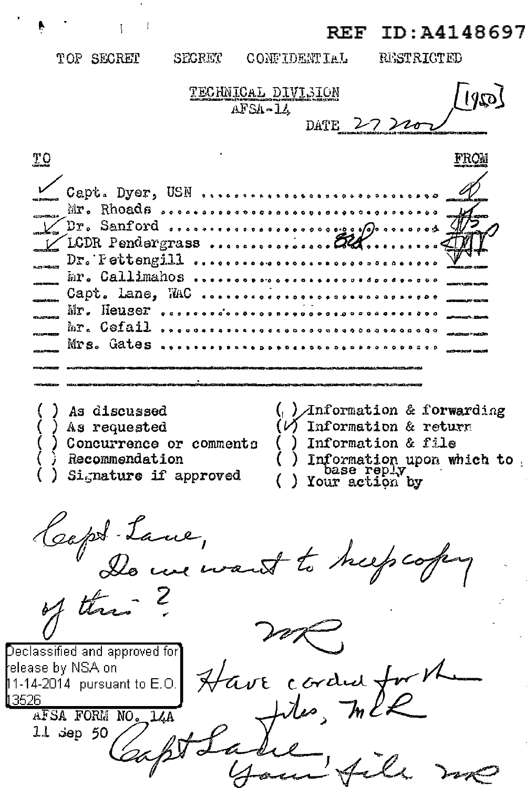ID:A4148697 REF

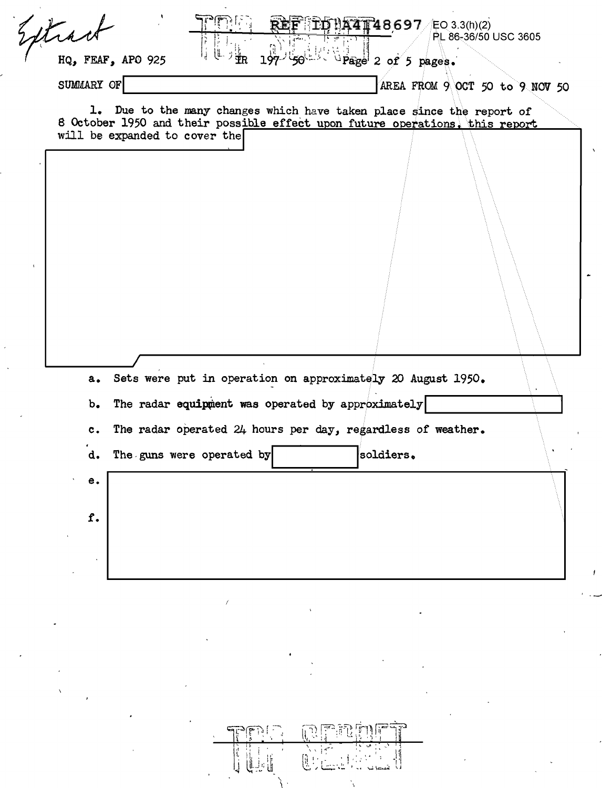| SUMMARY OF                    |                                                                                                                                                       |           | AREA FROM $9$ OCT 50 to $9$ NOV 50 |  |
|-------------------------------|-------------------------------------------------------------------------------------------------------------------------------------------------------|-----------|------------------------------------|--|
|                               |                                                                                                                                                       |           |                                    |  |
|                               | 1. Due to the many changes which have taken place since the report of<br>8 October 1950 and their possible effect upon future operations. this report |           |                                    |  |
| will be expanded to cover the |                                                                                                                                                       |           |                                    |  |
|                               |                                                                                                                                                       |           |                                    |  |
|                               |                                                                                                                                                       |           |                                    |  |
|                               |                                                                                                                                                       |           |                                    |  |
|                               |                                                                                                                                                       |           |                                    |  |
|                               |                                                                                                                                                       |           |                                    |  |
|                               |                                                                                                                                                       |           |                                    |  |
|                               |                                                                                                                                                       |           |                                    |  |
|                               |                                                                                                                                                       |           |                                    |  |
|                               |                                                                                                                                                       |           |                                    |  |
|                               | a. Sets were put in operation on approximately 20 August 1950.                                                                                        |           |                                    |  |
| $b_{\bullet}$                 | The radar equipment was operated by approximately                                                                                                     |           |                                    |  |
|                               |                                                                                                                                                       |           |                                    |  |
| $c_{\bullet}$                 | The radar operated 24 hours per day, regardless of weather.                                                                                           |           |                                    |  |
|                               | d. The guns were operated by                                                                                                                          | soldiers. |                                    |  |
| е.                            |                                                                                                                                                       |           |                                    |  |
|                               |                                                                                                                                                       |           |                                    |  |
| f.                            |                                                                                                                                                       |           |                                    |  |
|                               |                                                                                                                                                       |           |                                    |  |
|                               |                                                                                                                                                       |           |                                    |  |
|                               |                                                                                                                                                       |           |                                    |  |
|                               |                                                                                                                                                       |           |                                    |  |
|                               |                                                                                                                                                       |           |                                    |  |
|                               |                                                                                                                                                       |           |                                    |  |
|                               |                                                                                                                                                       |           |                                    |  |